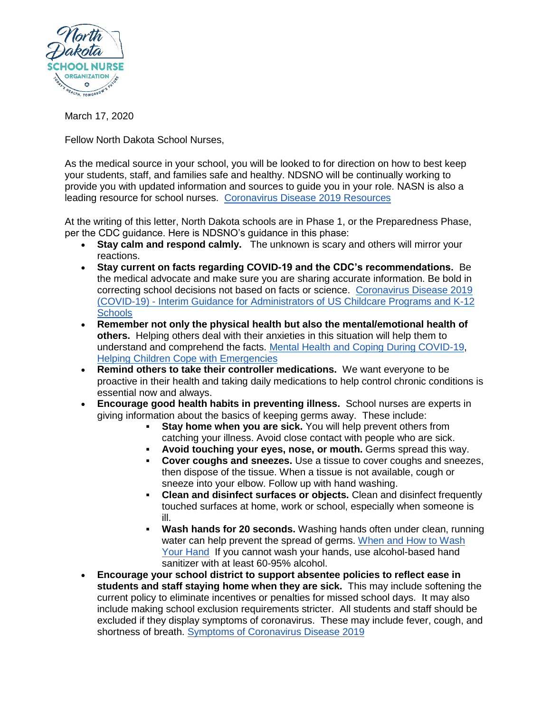

March 17, 2020

Fellow North Dakota School Nurses,

As the medical source in your school, you will be looked to for direction on how to best keep your students, staff, and families safe and healthy. NDSNO will be continually working to provide you with updated information and sources to guide you in your role. NASN is also a leading resource for school nurses. [Coronavirus Disease 2019 Resources](https://www.nasn.org/nasn/nasn-resources/practice-topics/covid19)

At the writing of this letter, North Dakota schools are in Phase 1, or the Preparedness Phase, per the CDC guidance. Here is NDSNO's guidance in this phase:

- **Stay calm and respond calmly.** The unknown is scary and others will mirror your reactions.
- **Stay current on facts regarding COVID-19 and the CDC's recommendations.** Be the medical advocate and make sure you are sharing accurate information. Be bold in correcting school decisions not based on facts or science. [Coronavirus Disease 2019](https://www.cdc.gov/coronavirus/2019-ncov/community/schools-childcare/guidance-for-schools.html?CDC_AA_refVal=https%3A%2F%2Fwww.cdc.gov%2Fcoronavirus%2F2019-ncov%2Fspecific-groups%2Fguidance-for-schools.html)  (COVID-19) - [Interim Guidance for Administrators of US Childcare Programs and K-12](https://www.cdc.gov/coronavirus/2019-ncov/community/schools-childcare/guidance-for-schools.html?CDC_AA_refVal=https%3A%2F%2Fwww.cdc.gov%2Fcoronavirus%2F2019-ncov%2Fspecific-groups%2Fguidance-for-schools.html)  **[Schools](https://www.cdc.gov/coronavirus/2019-ncov/community/schools-childcare/guidance-for-schools.html?CDC_AA_refVal=https%3A%2F%2Fwww.cdc.gov%2Fcoronavirus%2F2019-ncov%2Fspecific-groups%2Fguidance-for-schools.html)**
- **Remember not only the physical health but also the mental/emotional health of others.** Helping others deal with their anxieties in this situation will help them to understand and comprehend the facts. [Mental Health and Coping During COVID-19,](https://www.cdc.gov/coronavirus/2019-ncov/prepare/managing-stress-anxiety.html?CDC_AA_refVal=https%3A%2F%2Fwww.cdc.gov%2Fcoronavirus%2F2019-ncov%2Fabout%2Fcoping.html) [Helping Children Cope with Emergencies](https://www.cdc.gov/childrenindisasters/helping-children-cope.html)
- **Remind others to take their controller medications.** We want everyone to be proactive in their health and taking daily medications to help control chronic conditions is essential now and always.
- **Encourage good health habits in preventing illness.** School nurses are experts in giving information about the basics of keeping germs away. These include:
	- **Stay home when you are sick.** You will help prevent others from catching your illness. Avoid close contact with people who are sick.
	- **Avoid touching your eyes, nose, or mouth.** Germs spread this way.
	- **Cover coughs and sneezes.** Use a tissue to cover coughs and sneezes, then dispose of the tissue. When a tissue is not available, cough or sneeze into your elbow. Follow up with hand washing.
	- **Clean and disinfect surfaces or objects.** Clean and disinfect frequently touched surfaces at home, work or school, especially when someone is ill.
	- **Wash hands for 20 seconds.** Washing hands often under clean, running water can help prevent the spread of germs. [When and How to Wash](https://www.cdc.gov/healthyschools/bam/child-development/how-to-wash-hands.htm)  [Your Hand](https://www.cdc.gov/healthyschools/bam/child-development/how-to-wash-hands.htm) If you cannot wash your hands, use alcohol-based hand sanitizer with at least 60-95% alcohol.
- **Encourage your school district to support absentee policies to reflect ease in students and staff staying home when they are sick.** This may include softening the current policy to eliminate incentives or penalties for missed school days. It may also include making school exclusion requirements stricter. All students and staff should be excluded if they display symptoms of coronavirus. These may include fever, cough, and shortness of breath. [Symptoms of Coronavirus Disease 2019](https://www.cdc.gov/coronavirus/2019-ncov/downloads/COVID19-symptoms.pdf)